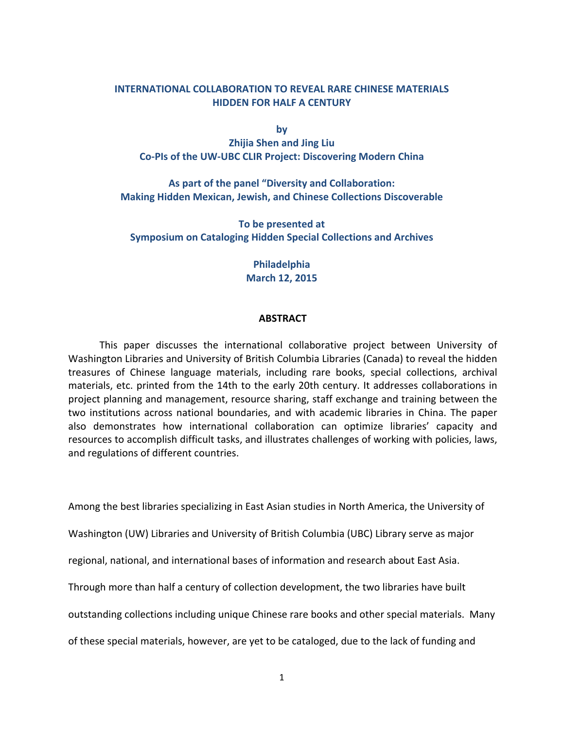# **INTERNATIONAL COLLABORATION TO REVEAL RARE CHINESE MATERIALS HIDDEN FOR HALF A CENTURY**

**by Zhijia Shen and Jing Liu** Co-PIs of the UW-UBC CLIR Project: Discovering Modern China

As part of the panel "Diversity and Collaboration: **Making Hidden Mexican, Jewish, and Chinese Collections Discoverable** 

**To be presented at Symposium on Cataloging Hidden Special Collections and Archives** 

> **Philadelphia March 12, 2015**

### **ABSTRACT**

This paper discusses the international collaborative project between University of Washington Libraries and University of British Columbia Libraries (Canada) to reveal the hidden treasures of Chinese language materials, including rare books, special collections, archival materials, etc. printed from the 14th to the early 20th century. It addresses collaborations in project planning and management, resource sharing, staff exchange and training between the two institutions across national boundaries, and with academic libraries in China. The paper also demonstrates how international collaboration can optimize libraries' capacity and resources to accomplish difficult tasks, and illustrates challenges of working with policies, laws, and regulations of different countries.

Among the best libraries specializing in East Asian studies in North America, the University of

Washington (UW) Libraries and University of British Columbia (UBC) Library serve as major

regional, national, and international bases of information and research about East Asia.

Through more than half a century of collection development, the two libraries have built

outstanding collections including unique Chinese rare books and other special materials. Many

of these special materials, however, are yet to be cataloged, due to the lack of funding and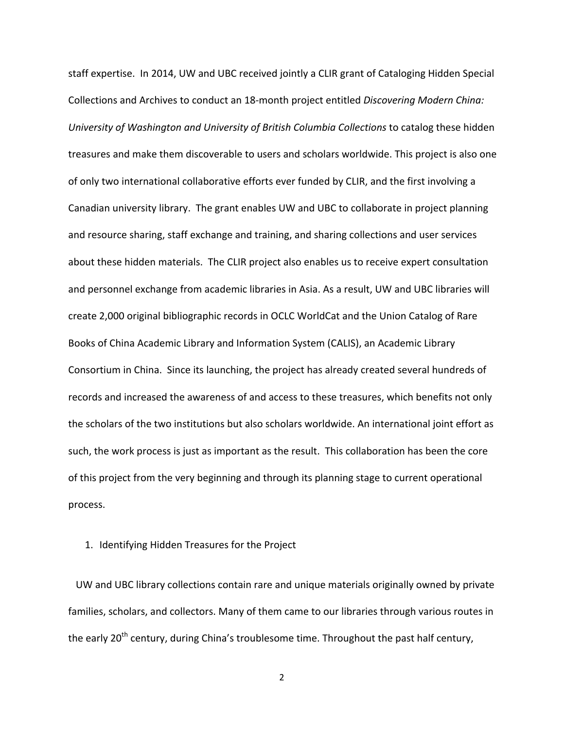staff expertise. In 2014, UW and UBC received jointly a CLIR grant of Cataloging Hidden Special Collections and Archives to conduct an 18-month project entitled *Discovering Modern China: University of Washington and University of British Columbia Collections* to catalog these hidden treasures and make them discoverable to users and scholars worldwide. This project is also one of only two international collaborative efforts ever funded by CLIR, and the first involving a Canadian university library. The grant enables UW and UBC to collaborate in project planning and resource sharing, staff exchange and training, and sharing collections and user services about these hidden materials. The CLIR project also enables us to receive expert consultation and personnel exchange from academic libraries in Asia. As a result, UW and UBC libraries will create 2,000 original bibliographic records in OCLC WorldCat and the Union Catalog of Rare Books of China Academic Library and Information System (CALIS), an Academic Library Consortium in China. Since its launching, the project has already created several hundreds of records and increased the awareness of and access to these treasures, which benefits not only the scholars of the two institutions but also scholars worldwide. An international joint effort as such, the work process is just as important as the result. This collaboration has been the core of this project from the very beginning and through its planning stage to current operational process. 

## 1. Identifying Hidden Treasures for the Project

UW and UBC library collections contain rare and unique materials originally owned by private families, scholars, and collectors. Many of them came to our libraries through various routes in the early  $20^{th}$  century, during China's troublesome time. Throughout the past half century,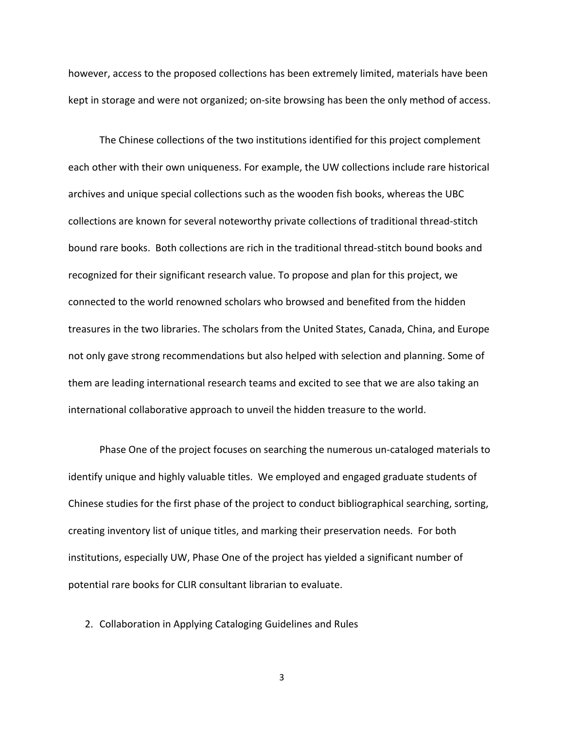however, access to the proposed collections has been extremely limited, materials have been kept in storage and were not organized; on-site browsing has been the only method of access.

The Chinese collections of the two institutions identified for this project complement each other with their own uniqueness. For example, the UW collections include rare historical archives and unique special collections such as the wooden fish books, whereas the UBC collections are known for several noteworthy private collections of traditional thread-stitch bound rare books. Both collections are rich in the traditional thread-stitch bound books and recognized for their significant research value. To propose and plan for this project, we connected to the world renowned scholars who browsed and benefited from the hidden treasures in the two libraries. The scholars from the United States, Canada, China, and Europe not only gave strong recommendations but also helped with selection and planning. Some of them are leading international research teams and excited to see that we are also taking an international collaborative approach to unveil the hidden treasure to the world.

Phase One of the project focuses on searching the numerous un-cataloged materials to identify unique and highly valuable titles. We employed and engaged graduate students of Chinese studies for the first phase of the project to conduct bibliographical searching, sorting, creating inventory list of unique titles, and marking their preservation needs. For both institutions, especially UW, Phase One of the project has yielded a significant number of potential rare books for CLIR consultant librarian to evaluate.

2. Collaboration in Applying Cataloging Guidelines and Rules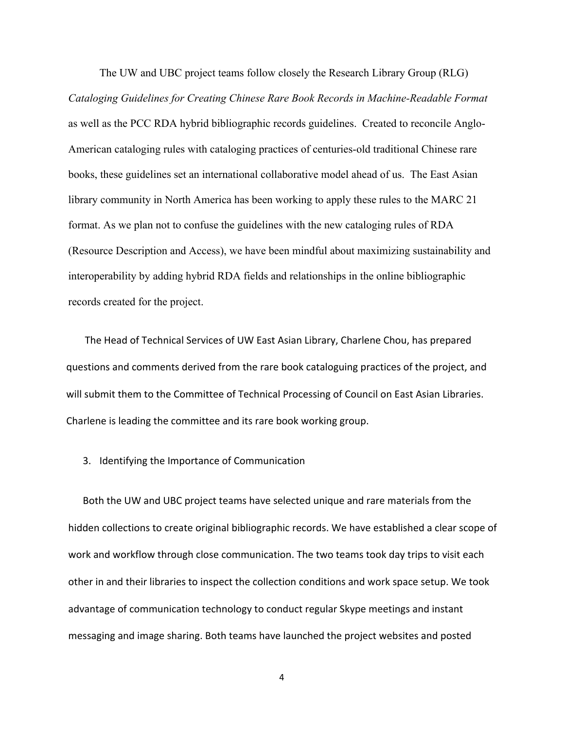The UW and UBC project teams follow closely the Research Library Group (RLG) *Cataloging Guidelines for Creating Chinese Rare Book Records in Machine-Readable Format*  as well as the PCC RDA hybrid bibliographic records guidelines. Created to reconcile Anglo-American cataloging rules with cataloging practices of centuries-old traditional Chinese rare books, these guidelines set an international collaborative model ahead of us. The East Asian library community in North America has been working to apply these rules to the MARC 21 format. As we plan not to confuse the guidelines with the new cataloging rules of RDA (Resource Description and Access), we have been mindful about maximizing sustainability and interoperability by adding hybrid RDA fields and relationships in the online bibliographic records created for the project.

The Head of Technical Services of UW East Asian Library, Charlene Chou, has prepared questions and comments derived from the rare book cataloguing practices of the project, and will submit them to the Committee of Technical Processing of Council on East Asian Libraries. Charlene is leading the committee and its rare book working group.

### 3. Identifying the Importance of Communication

Both the UW and UBC project teams have selected unique and rare materials from the hidden collections to create original bibliographic records. We have established a clear scope of work and workflow through close communication. The two teams took day trips to visit each other in and their libraries to inspect the collection conditions and work space setup. We took advantage of communication technology to conduct regular Skype meetings and instant messaging and image sharing. Both teams have launched the project websites and posted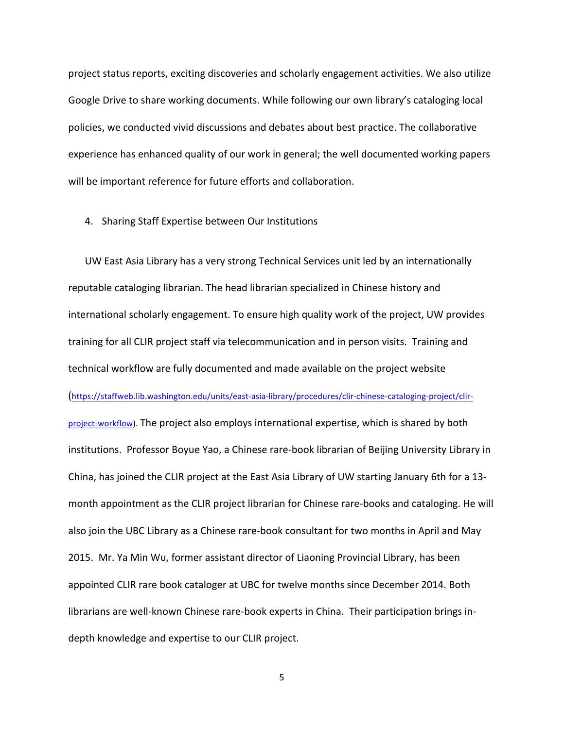project status reports, exciting discoveries and scholarly engagement activities. We also utilize Google Drive to share working documents. While following our own library's cataloging local policies, we conducted vivid discussions and debates about best practice. The collaborative experience has enhanced quality of our work in general; the well documented working papers will be important reference for future efforts and collaboration.

4. Sharing Staff Expertise between Our Institutions

UW East Asia Library has a very strong Technical Services unit led by an internationally reputable cataloging librarian. The head librarian specialized in Chinese history and international scholarly engagement. To ensure high quality work of the project, UW provides training for all CLIR project staff via telecommunication and in person visits. Training and technical workflow are fully documented and made available on the project website (https://staffweb.lib.washington.edu/units/east-asia-library/procedures/clir-chinese-cataloging-project/clirproject-workflow). The project also employs international expertise, which is shared by both institutions. Professor Boyue Yao, a Chinese rare-book librarian of Beijing University Library in China, has joined the CLIR project at the East Asia Library of UW starting January 6th for a 13month appointment as the CLIR project librarian for Chinese rare-books and cataloging. He will also join the UBC Library as a Chinese rare-book consultant for two months in April and May 2015. Mr. Ya Min Wu, former assistant director of Liaoning Provincial Library, has been appointed CLIR rare book cataloger at UBC for twelve months since December 2014. Both librarians are well-known Chinese rare-book experts in China. Their participation brings indepth knowledge and expertise to our CLIR project.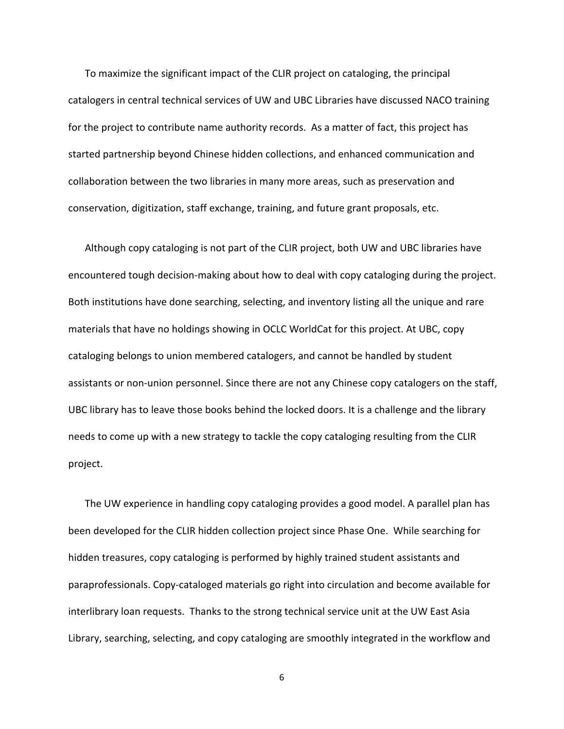To maximize the significant impact of the CLIR project on cataloging, the principal catalogers in central technical services of UW and UBC Libraries have discussed NACO training for the project to contribute name authority records. As a matter of fact, this project has started partnership beyond Chinese hidden collections, and enhanced communication and collaboration between the two libraries in many more areas, such as preservation and conservation, digitization, staff exchange, training, and future grant proposals, etc.

Although copy cataloging is not part of the CLIR project, both UW and UBC libraries have encountered tough decision-making about how to deal with copy cataloging during the project. Both institutions have done searching, selecting, and inventory listing all the unique and rare materials that have no holdings showing in OCLC WorldCat for this project. At UBC, copy cataloging belongs to union membered catalogers, and cannot be handled by student assistants or non-union personnel. Since there are not any Chinese copy catalogers on the staff, UBC library has to leave those books behind the locked doors. It is a challenge and the library needs to come up with a new strategy to tackle the copy cataloging resulting from the CLIR project. 

The UW experience in handling copy cataloging provides a good model. A parallel plan has been developed for the CLIR hidden collection project since Phase One. While searching for hidden treasures, copy cataloging is performed by highly trained student assistants and paraprofessionals. Copy-cataloged materials go right into circulation and become available for interlibrary loan requests. Thanks to the strong technical service unit at the UW East Asia Library, searching, selecting, and copy cataloging are smoothly integrated in the workflow and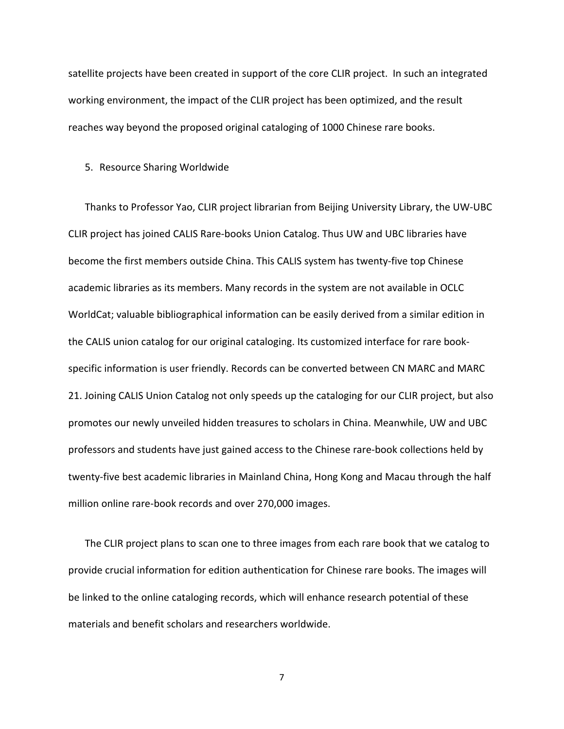satellite projects have been created in support of the core CLIR project. In such an integrated working environment, the impact of the CLIR project has been optimized, and the result reaches way beyond the proposed original cataloging of 1000 Chinese rare books.

#### 5. Resource Sharing Worldwide

Thanks to Professor Yao, CLIR project librarian from Beijing University Library, the UW-UBC CLIR project has joined CALIS Rare-books Union Catalog. Thus UW and UBC libraries have become the first members outside China. This CALIS system has twenty-five top Chinese academic libraries as its members. Many records in the system are not available in OCLC WorldCat; valuable bibliographical information can be easily derived from a similar edition in the CALIS union catalog for our original cataloging. Its customized interface for rare bookspecific information is user friendly. Records can be converted between CN MARC and MARC 21. Joining CALIS Union Catalog not only speeds up the cataloging for our CLIR project, but also promotes our newly unveiled hidden treasures to scholars in China. Meanwhile, UW and UBC professors and students have just gained access to the Chinese rare-book collections held by twenty-five best academic libraries in Mainland China, Hong Kong and Macau through the half million online rare-book records and over 270,000 images.

The CLIR project plans to scan one to three images from each rare book that we catalog to provide crucial information for edition authentication for Chinese rare books. The images will be linked to the online cataloging records, which will enhance research potential of these materials and benefit scholars and researchers worldwide.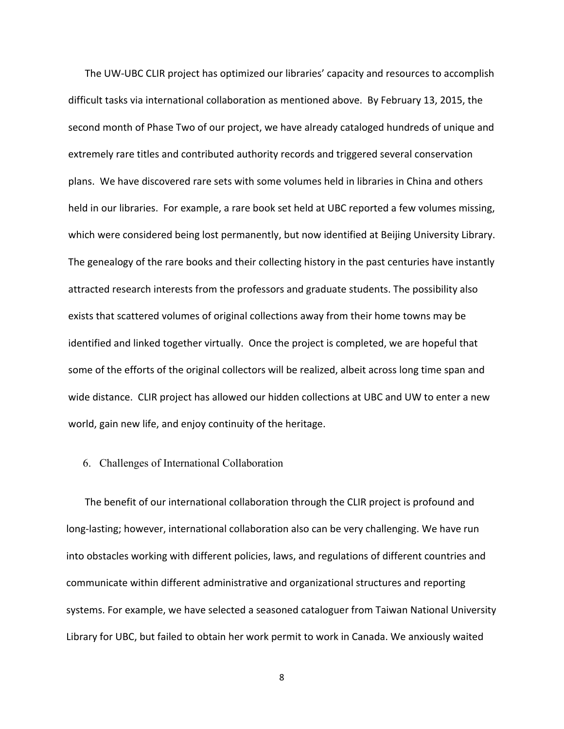The UW-UBC CLIR project has optimized our libraries' capacity and resources to accomplish difficult tasks via international collaboration as mentioned above. By February 13, 2015, the second month of Phase Two of our project, we have already cataloged hundreds of unique and extremely rare titles and contributed authority records and triggered several conservation plans. We have discovered rare sets with some volumes held in libraries in China and others held in our libraries. For example, a rare book set held at UBC reported a few volumes missing, which were considered being lost permanently, but now identified at Beijing University Library. The genealogy of the rare books and their collecting history in the past centuries have instantly attracted research interests from the professors and graduate students. The possibility also exists that scattered volumes of original collections away from their home towns may be identified and linked together virtually. Once the project is completed, we are hopeful that some of the efforts of the original collectors will be realized, albeit across long time span and wide distance. CLIR project has allowed our hidden collections at UBC and UW to enter a new world, gain new life, and enjoy continuity of the heritage.

## 6. Challenges of International Collaboration

The benefit of our international collaboration through the CLIR project is profound and long-lasting; however, international collaboration also can be very challenging. We have run into obstacles working with different policies, laws, and regulations of different countries and communicate within different administrative and organizational structures and reporting systems. For example, we have selected a seasoned cataloguer from Taiwan National University Library for UBC, but failed to obtain her work permit to work in Canada. We anxiously waited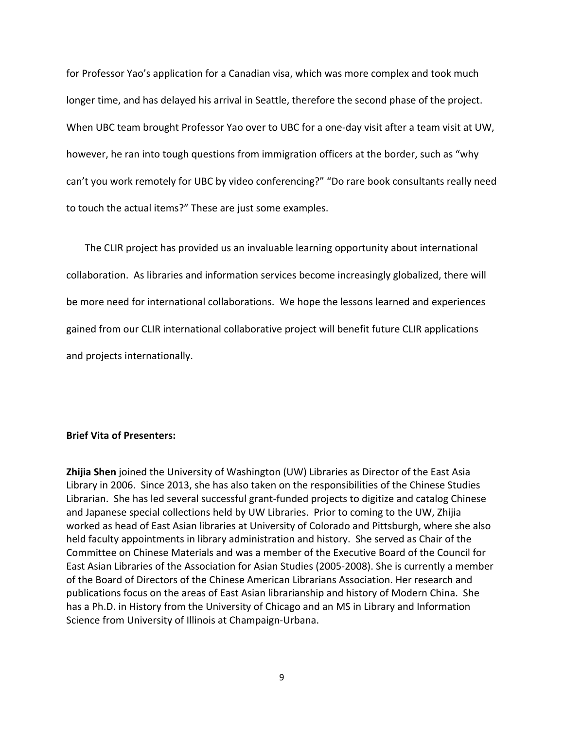for Professor Yao's application for a Canadian visa, which was more complex and took much longer time, and has delayed his arrival in Seattle, therefore the second phase of the project. When UBC team brought Professor Yao over to UBC for a one-day visit after a team visit at UW, however, he ran into tough questions from immigration officers at the border, such as "why can't you work remotely for UBC by video conferencing?" "Do rare book consultants really need to touch the actual items?" These are just some examples.

The CLIR project has provided us an invaluable learning opportunity about international collaboration. As libraries and information services become increasingly globalized, there will be more need for international collaborations. We hope the lessons learned and experiences gained from our CLIR international collaborative project will benefit future CLIR applications and projects internationally.

## **Brief Vita of Presenters:**

**Zhijia Shen** joined the University of Washington (UW) Libraries as Director of the East Asia Library in 2006. Since 2013, she has also taken on the responsibilities of the Chinese Studies Librarian. She has led several successful grant-funded projects to digitize and catalog Chinese and Japanese special collections held by UW Libraries. Prior to coming to the UW, Zhijia worked as head of East Asian libraries at University of Colorado and Pittsburgh, where she also held faculty appointments in library administration and history. She served as Chair of the Committee on Chinese Materials and was a member of the Executive Board of the Council for East Asian Libraries of the Association for Asian Studies (2005-2008). She is currently a member of the Board of Directors of the Chinese American Librarians Association. Her research and publications focus on the areas of East Asian librarianship and history of Modern China. She has a Ph.D. in History from the University of Chicago and an MS in Library and Information Science from University of Illinois at Champaign-Urbana.